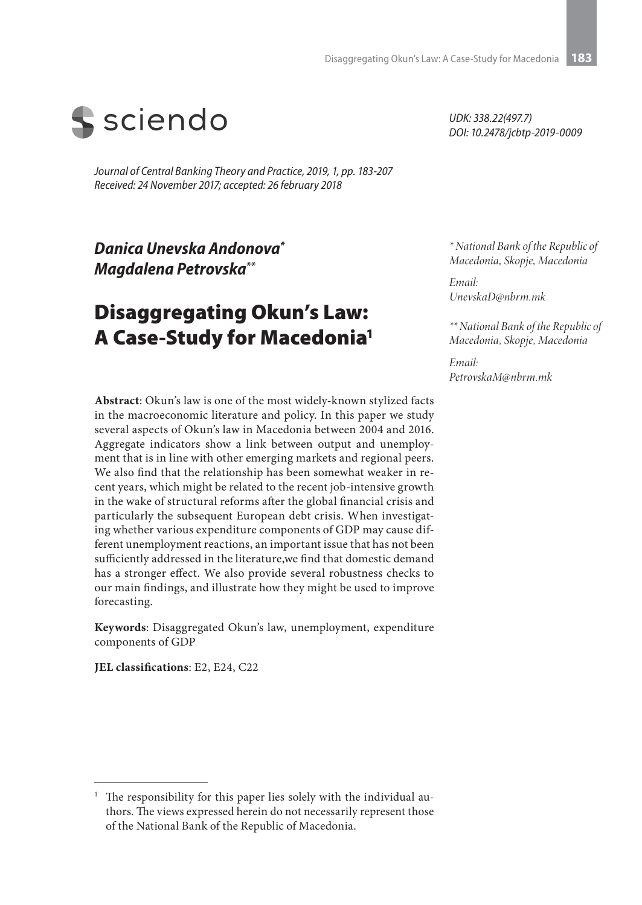

*Journal of Central Banking Theory and Practice, 2019, 1, pp. 183-207 Received: 24 November 2017; accepted: 26 february 2018* 

*Danica Unevska Andonova\* Magdalena Petrovska\*\**

# Disaggregating Okun's Law: A Case-Study for Macedonia1

**Abstract**: Okun's law is one of the most widely-known stylized facts in the macroeconomic literature and policy. In this paper we study several aspects of Okun's law in Macedonia between 2004 and 2016. Aggregate indicators show a link between output and unemployment that is in line with other emerging markets and regional peers. We also find that the relationship has been somewhat weaker in recent years, which might be related to the recent job-intensive growth in the wake of structural reforms after the global financial crisis and particularly the subsequent European debt crisis. When investigating whether various expenditure components of GDP may cause different unemployment reactions, an important issue that has not been sufficiently addressed in the literature,we find that domestic demand has a stronger effect. We also provide several robustness checks to our main findings, and illustrate how they might be used to improve forecasting.

**Keywords**: Disaggregated Okun's law, unemployment, expenditure components of GDP

**JEL classifications**: E2, E24, C22

*UDK: 338.22(497.7) DOI: 10.2478/jcbtp-2019-0009*

*\* National Bank of the Republic of Macedonia, Skopje, Macedonia*

*Email: UnevskaD@nbrm.mk*

*\*\* National Bank of the Republic of Macedonia, Skopje, Macedonia*

*Email: PetrovskaM@nbrm.mk*

<sup>1</sup> The responsibility for this paper lies solely with the individual authors. The views expressed herein do not necessarily represent those of the National Bank of the Republic of Macedonia.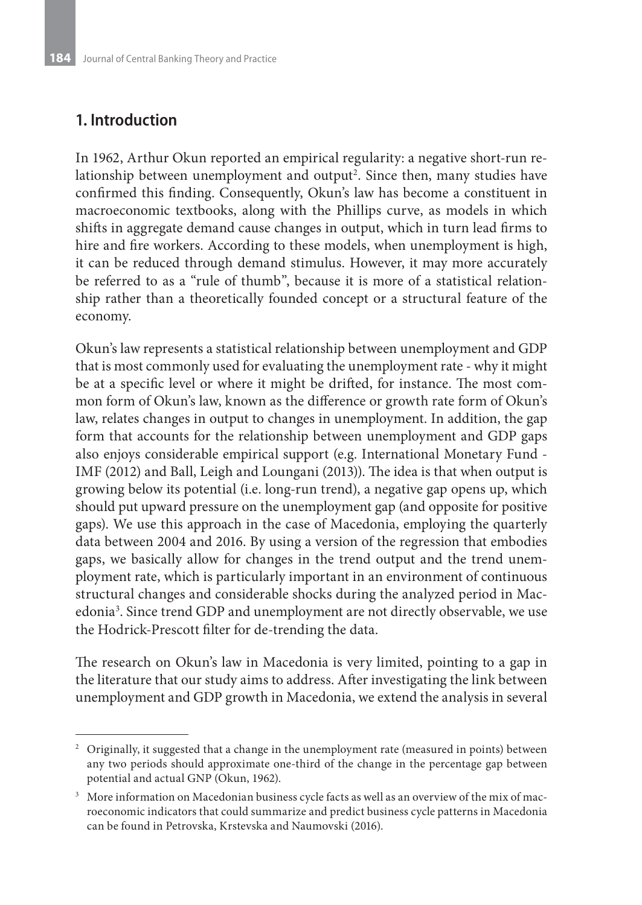### **1. Introduction**

In 1962, Arthur Okun reported an empirical regularity: a negative short-run relationship between unemployment and output<sup>2</sup>. Since then, many studies have confirmed this finding. Consequently, Okun's law has become a constituent in macroeconomic textbooks, along with the Phillips curve, as models in which shifts in aggregate demand cause changes in output, which in turn lead firms to hire and fire workers. According to these models, when unemployment is high, it can be reduced through demand stimulus. However, it may more accurately be referred to as a "rule of thumb", because it is more of a statistical relationship rather than a theoretically founded concept or a structural feature of the economy.

Okun's law represents a statistical relationship between unemployment and GDP that is most commonly used for evaluating the unemployment rate - why it might be at a specific level or where it might be drifted, for instance. The most common form of Okun's law, known as the difference or growth rate form of Okun's law, relates changes in output to changes in unemployment. In addition, the gap form that accounts for the relationship between unemployment and GDP gaps also enjoys considerable empirical support (e.g. International Monetary Fund - IMF (2012) and Ball, Leigh and Loungani (2013)). The idea is that when output is growing below its potential (i.e. long-run trend), a negative gap opens up, which should put upward pressure on the unemployment gap (and opposite for positive gaps). We use this approach in the case of Macedonia, employing the quarterly data between 2004 and 2016. By using a version of the regression that embodies gaps, we basically allow for changes in the trend output and the trend unemployment rate, which is particularly important in an environment of continuous structural changes and considerable shocks during the analyzed period in Macedonia<sup>3</sup>. Since trend GDP and unemployment are not directly observable, we use the Hodrick-Prescott filter for de-trending the data.

The research on Okun's law in Macedonia is very limited, pointing to a gap in the literature that our study aims to address. After investigating the link between unemployment and GDP growth in Macedonia, we extend the analysis in several

 $2$  Originally, it suggested that a change in the unemployment rate (measured in points) between any two periods should approximate one-third of the change in the percentage gap between potential and actual GNP (Okun, 1962).

<sup>&</sup>lt;sup>3</sup> More information on Macedonian business cycle facts as well as an overview of the mix of macroeconomic indicators that could summarize and predict business cycle patterns in Macedonia can be found in Petrovska, Krstevska and Naumovski (2016).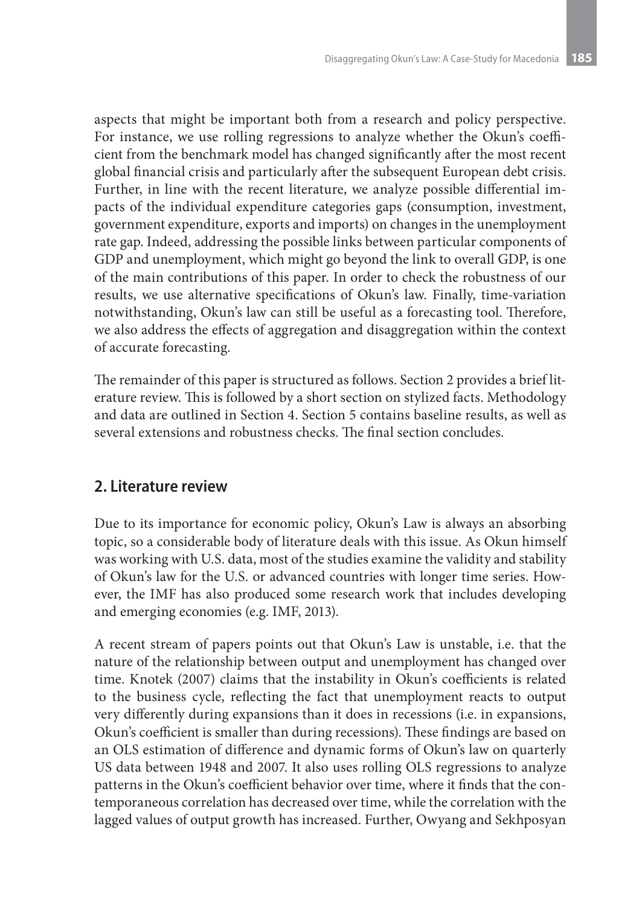aspects that might be important both from a research and policy perspective. For instance, we use rolling regressions to analyze whether the Okun's coefficient from the benchmark model has changed significantly after the most recent global financial crisis and particularly after the subsequent European debt crisis. Further, in line with the recent literature, we analyze possible differential impacts of the individual expenditure categories gaps (consumption, investment, government expenditure, exports and imports) on changes in the unemployment rate gap. Indeed, addressing the possible links between particular components of GDP and unemployment, which might go beyond the link to overall GDP, is one of the main contributions of this paper. In order to check the robustness of our results, we use alternative specifications of Okun's law. Finally, time-variation notwithstanding, Okun's law can still be useful as a forecasting tool. Therefore, we also address the effects of aggregation and disaggregation within the context of accurate forecasting.

The remainder of this paper is structured as follows. Section 2 provides a brief literature review. This is followed by a short section on stylized facts. Methodology and data are outlined in Section 4. Section 5 contains baseline results, as well as several extensions and robustness checks. The final section concludes.

### **2. Literature review**

Due to its importance for economic policy, Okun's Law is always an absorbing topic, so a considerable body of literature deals with this issue. As Okun himself was working with U.S. data, most of the studies examine the validity and stability of Okun's law for the U.S. or advanced countries with longer time series. However, the IMF has also produced some research work that includes developing and emerging economies (e.g. IMF, 2013).

A recent stream of papers points out that Okun's Law is unstable, i.e. that the nature of the relationship between output and unemployment has changed over time. Knotek (2007) claims that the instability in Okun's coefficients is related to the business cycle, reflecting the fact that unemployment reacts to output very differently during expansions than it does in recessions (i.e. in expansions, Okun's coefficient is smaller than during recessions). These findings are based on an OLS estimation of difference and dynamic forms of Okun's law on quarterly US data between 1948 and 2007. It also uses rolling OLS regressions to analyze patterns in the Okun's coefficient behavior over time, where it finds that the contemporaneous correlation has decreased over time, while the correlation with the lagged values of output growth has increased. Further, Owyang and Sekhposyan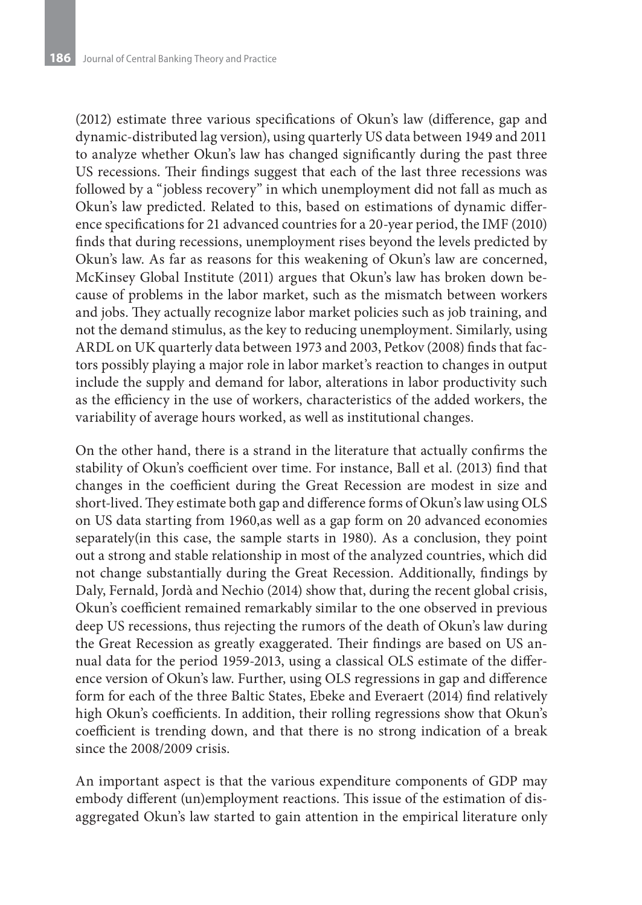(2012) estimate three various specifications of Okun's law (difference, gap and dynamic-distributed lag version), using quarterly US data between 1949 and 2011 to analyze whether Okun's law has changed significantly during the past three US recessions. Their findings suggest that each of the last three recessions was followed by a "jobless recovery" in which unemployment did not fall as much as Okun's law predicted. Related to this, based on estimations of dynamic difference specifications for 21 advanced countries for a 20-year period, the IMF (2010) finds that during recessions, unemployment rises beyond the levels predicted by Okun's law. As far as reasons for this weakening of Okun's law are concerned, McKinsey Global Institute (2011) argues that Okun's law has broken down because of problems in the labor market, such as the mismatch between workers and jobs. They actually recognize labor market policies such as job training, and not the demand stimulus, as the key to reducing unemployment. Similarly, using ARDL on UK quarterly data between 1973 and 2003, Petkov (2008) finds that factors possibly playing a major role in labor market's reaction to changes in output include the supply and demand for labor, alterations in labor productivity such as the efficiency in the use of workers, characteristics of the added workers, the variability of average hours worked, as well as institutional changes.

On the other hand, there is a strand in the literature that actually confirms the stability of Okun's coefficient over time. For instance, Ball et al. (2013) find that changes in the coefficient during the Great Recession are modest in size and short-lived. They estimate both gap and difference forms of Okun's law using OLS on US data starting from 1960,as well as a gap form on 20 advanced economies separately(in this case, the sample starts in 1980). As a conclusion, they point out a strong and stable relationship in most of the analyzed countries, which did not change substantially during the Great Recession. Additionally, findings by Daly, Fernald, Jordà and Nechio (2014) show that, during the recent global crisis, Okun's coefficient remained remarkably similar to the one observed in previous deep US recessions, thus rejecting the rumors of the death of Okun's law during the Great Recession as greatly exaggerated. Their findings are based on US annual data for the period 1959-2013, using a classical OLS estimate of the difference version of Okun's law. Further, using OLS regressions in gap and difference form for each of the three Baltic States, Ebeke and Everaert (2014) find relatively high Okun's coefficients. In addition, their rolling regressions show that Okun's coefficient is trending down, and that there is no strong indication of a break since the 2008/2009 crisis.

An important aspect is that the various expenditure components of GDP may embody different (un)employment reactions. This issue of the estimation of disaggregated Okun's law started to gain attention in the empirical literature only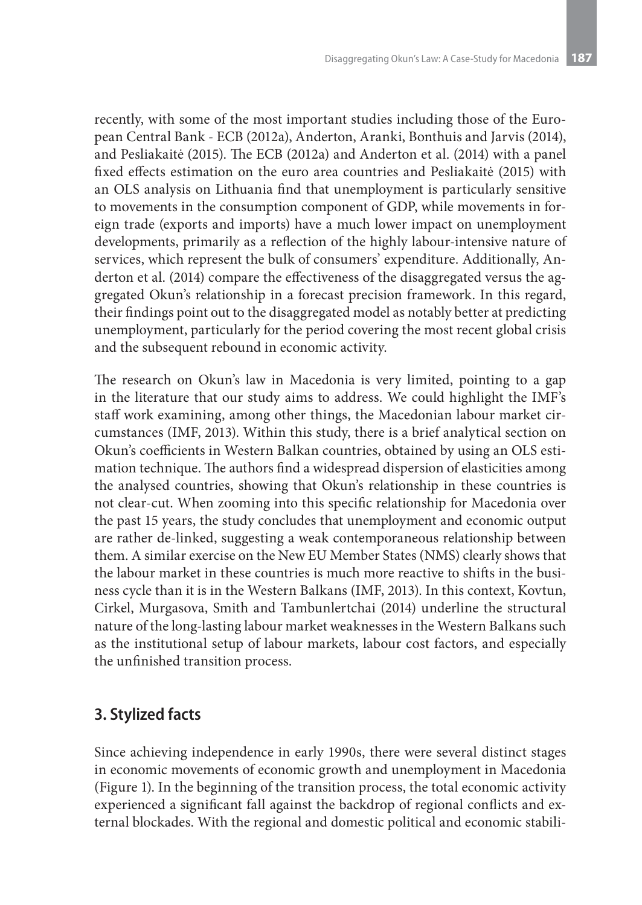recently, with some of the most important studies including those of the European Central Bank - ECB (2012a), Anderton, Aranki, Bonthuis and Jarvis (2014), and Pesliakaitė (2015). The ECB (2012a) and Anderton et al. (2014) with a panel fixed effects estimation on the euro area countries and Pesliakaitė (2015) with an OLS analysis on Lithuania find that unemployment is particularly sensitive to movements in the consumption component of GDP, while movements in foreign trade (exports and imports) have a much lower impact on unemployment developments, primarily as a reflection of the highly labour-intensive nature of services, which represent the bulk of consumers' expenditure. Additionally, Anderton et al. (2014) compare the effectiveness of the disaggregated versus the aggregated Okun's relationship in a forecast precision framework. In this regard, their findings point out to the disaggregated model as notably better at predicting unemployment, particularly for the period covering the most recent global crisis and the subsequent rebound in economic activity.

The research on Okun's law in Macedonia is very limited, pointing to a gap in the literature that our study aims to address. We could highlight the IMF's staff work examining, among other things, the Macedonian labour market circumstances (IMF, 2013). Within this study, there is a brief analytical section on Okun's coefficients in Western Balkan countries, obtained by using an OLS estimation technique. The authors find a widespread dispersion of elasticities among the analysed countries, showing that Okun's relationship in these countries is not clear-cut. When zooming into this specific relationship for Macedonia over the past 15 years, the study concludes that unemployment and economic output are rather de-linked, suggesting a weak contemporaneous relationship between them. A similar exercise on the New EU Member States (NMS) clearly shows that the labour market in these countries is much more reactive to shifts in the business cycle than it is in the Western Balkans (IMF, 2013). In this context, Kovtun, Cirkel, Murgasova, Smith and Tambunlertchai (2014) underline the structural nature of the long-lasting labour market weaknesses in the Western Balkans such as the institutional setup of labour markets, labour cost factors, and especially the unfinished transition process.

### **3. Stylized facts**

Since achieving independence in early 1990s, there were several distinct stages in economic movements of economic growth and unemployment in Macedonia (Figure 1). In the beginning of the transition process, the total economic activity experienced a significant fall against the backdrop of regional conflicts and external blockades. With the regional and domestic political and economic stabili-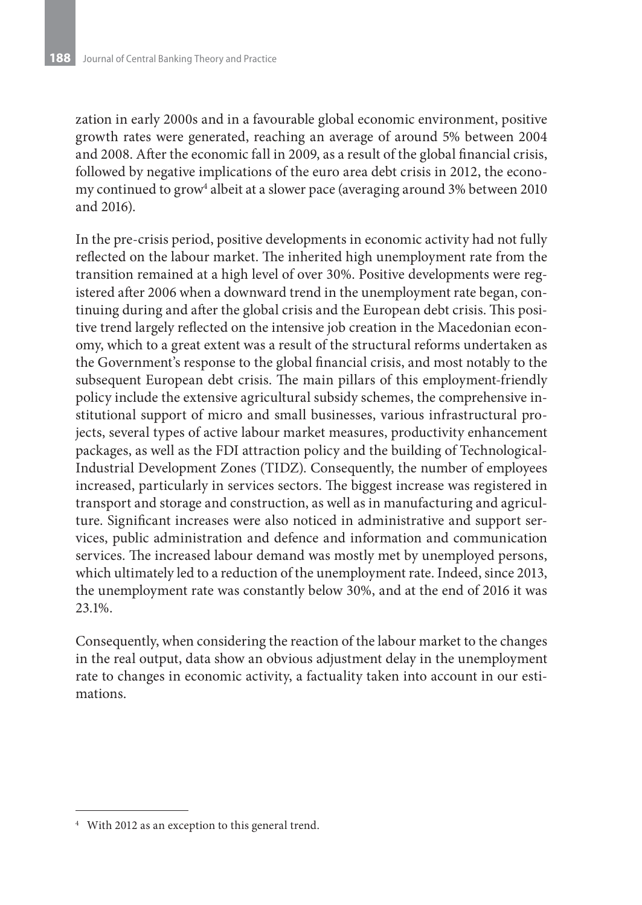zation in early 2000s and in a favourable global economic environment, positive growth rates were generated, reaching an average of around 5% between 2004 and 2008. After the economic fall in 2009, as a result of the global financial crisis, followed by negative implications of the euro area debt crisis in 2012, the economy continued to grow<sup>4</sup> albeit at a slower pace (averaging around 3% between 2010 and 2016).

In the pre-crisis period, positive developments in economic activity had not fully reflected on the labour market. The inherited high unemployment rate from the transition remained at a high level of over 30%. Positive developments were registered after 2006 when a downward trend in the unemployment rate began, continuing during and after the global crisis and the European debt crisis. This positive trend largely reflected on the intensive job creation in the Macedonian economy, which to a great extent was a result of the structural reforms undertaken as the Government's response to the global financial crisis, and most notably to the subsequent European debt crisis. The main pillars of this employment-friendly policy include the extensive agricultural subsidy schemes, the comprehensive institutional support of micro and small businesses, various infrastructural projects, several types of active labour market measures, productivity enhancement packages, as well as the FDI attraction policy and the building of Technological-Industrial Development Zones (TIDZ). Consequently, the number of employees increased, particularly in services sectors. The biggest increase was registered in transport and storage and construction, as well as in manufacturing and agriculture. Significant increases were also noticed in administrative and support services, public administration and defence and information and communication services. The increased labour demand was mostly met by unemployed persons, which ultimately led to a reduction of the unemployment rate. Indeed, since 2013, the unemployment rate was constantly below 30%, and at the end of 2016 it was 23.1%.

Consequently, when considering the reaction of the labour market to the changes in the real output, data show an obvious adjustment delay in the unemployment rate to changes in economic activity, a factuality taken into account in our estimations.

<sup>4</sup> With 2012 as an exception to this general trend.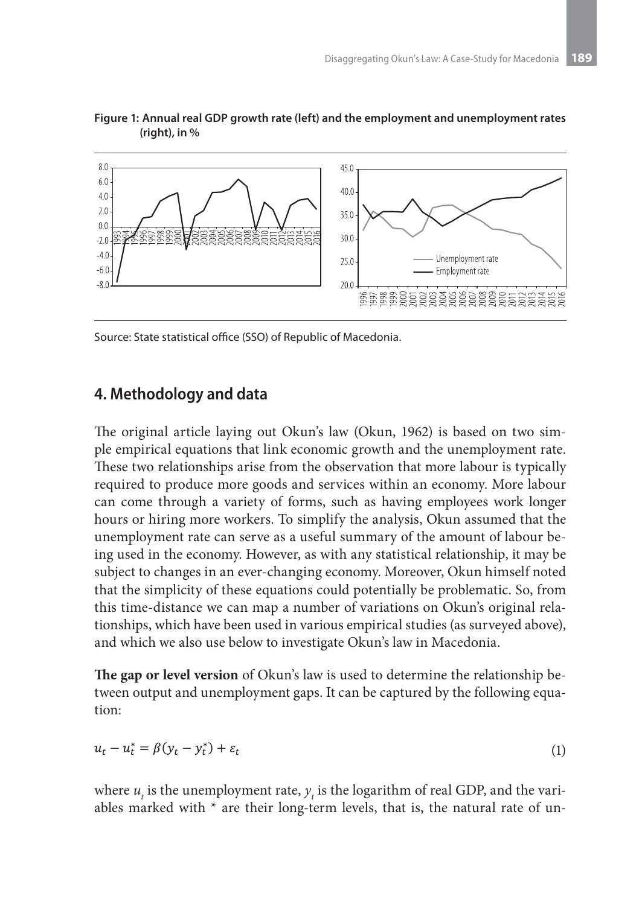



Source: State statistical office (SSO) of Republic of Macedonia.

#### **4. Methodology and data**

The original article laying out Okun's law (Okun, 1962) is based on two simple empirical equations that link economic growth and the unemployment rate. These two relationships arise from the observation that more labour is typically required to produce more goods and services within an economy. More labour can come through a variety of forms, such as having employees work longer hours or hiring more workers. To simplify the analysis, Okun assumed that the unemployment rate can serve as a useful summary of the amount of labour being used in the economy. However, as with any statistical relationship, it may be subject to changes in an ever-changing economy. Moreover, Okun himself noted that the simplicity of these equations could potentially be problematic. So, from this time-distance we can map a number of variations on Okun's original relationships, which have been used in various empirical studies (as surveyed above), and which we also use below to investigate Okun's law in Macedonia.

**The gap or level version** of Okun's law is used to determine the relationship between output and unemployment gaps. It can be captured by the following equation:

$$
u_t - u_t^* = \beta(y_t - y_t^*) + \varepsilon_t \tag{1}
$$

where  $u_t$  is the unemployment rate,  $y_t$  is the logarithm of real GDP, and the variables marked with  $*$  are their long-term levels, that is, the natural rate of un-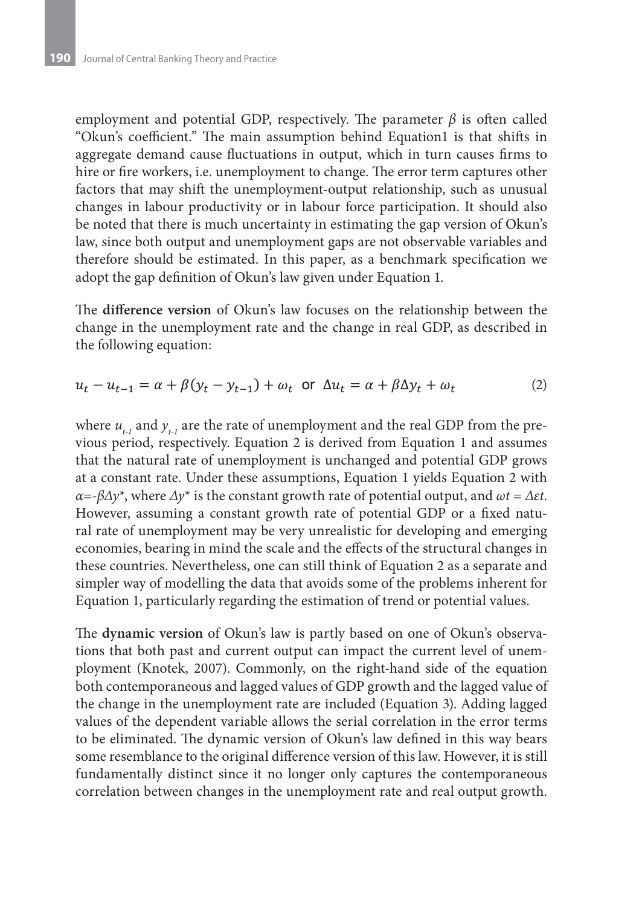employment and potential GDP, respectively. The parameter  $\beta$  is often called "Okun's coefficient." The main assumption behind Equation1 is that shifts in aggregate demand cause fluctuations in output, which in turn causes firms to hire or fire workers, i.e. unemployment to change. The error term captures other factors that may shift the unemployment-output relationship, such as unusual changes in labour productivity or in labour force participation. It should also be noted that there is much uncertainty in estimating the gap version of Okun's law, since both output and unemployment gaps are not observable variables and therefore should be estimated. In this paper, as a benchmark specification we adopt the gap definition of Okun's law given under Equation 1.

The **difference version** of Okun's law focuses on the relationship between the change in the unemployment rate and the change in real GDP, as described in the following equation:

$$
u_t - u_{t-1} = \alpha + \beta(y_t - y_{t-1}) + \omega_t \text{ or } \Delta u_t = \alpha + \beta \Delta y_t + \omega_t \tag{2}
$$

where  $u_{t_1}$  and  $y_{t_1}$  are the rate of unemployment and the real GDP from the previous period, respectively. Equation 2 is derived from Equation 1 and assumes that the natural rate of unemployment is unchanged and potential GDP grows at a constant rate. Under these assumptions, Equation 1 yields Equation 2 with *α=-βΔy*\*, where *Δy*\* is the constant growth rate of potential output, and *ωt = Δεt*. However, assuming a constant growth rate of potential GDP or a fixed natural rate of unemployment may be very unrealistic for developing and emerging economies, bearing in mind the scale and the effects of the structural changes in these countries. Nevertheless, one can still think of Equation 2 as a separate and simpler way of modelling the data that avoids some of the problems inherent for Equation 1, particularly regarding the estimation of trend or potential values.

The **dynamic version** of Okun's law is partly based on one of Okun's observations that both past and current output can impact the current level of unemployment (Knotek, 2007). Commonly, on the right-hand side of the equation both contemporaneous and lagged values of GDP growth and the lagged value of the change in the unemployment rate are included (Equation 3). Adding lagged values of the dependent variable allows the serial correlation in the error terms to be eliminated. The dynamic version of Okun's law defined in this way bears some resemblance to the original difference version of this law. However, it is still fundamentally distinct since it no longer only captures the contemporaneous correlation between changes in the unemployment rate and real output growth.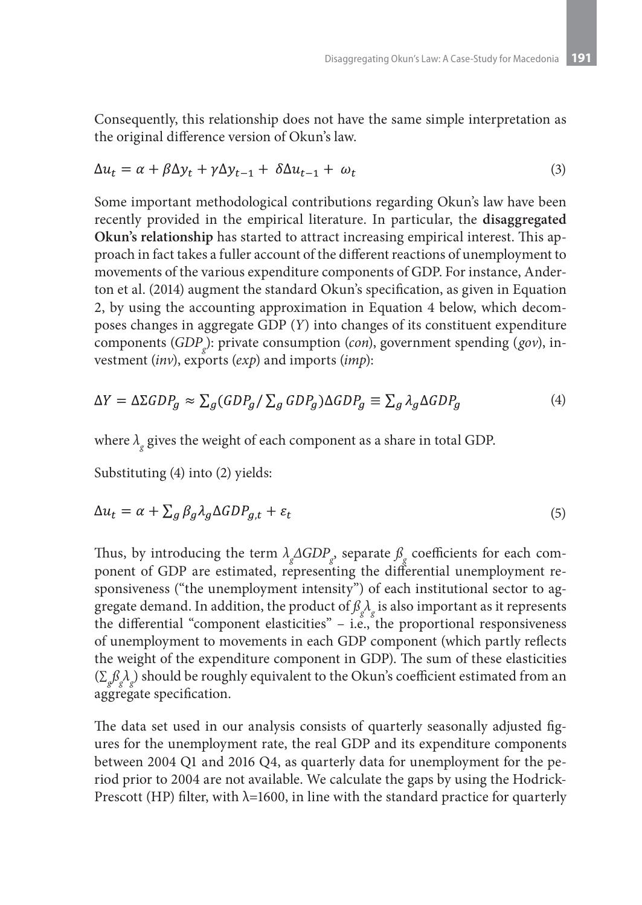Consequently, this relationship does not have the same simple interpretation as the original difference version of Okun's law.

$$
\Delta u_t = \alpha + \beta \Delta y_t + \gamma \Delta y_{t-1} + \delta \Delta u_{t-1} + \omega_t \tag{3}
$$

Some important methodological contributions regarding Okun's law have been recently provided in the empirical literature. In particular, the **disaggregated Okun's relationship** has started to attract increasing empirical interest. This approach in fact takes a fuller account of the different reactions of unemployment to movements of the various expenditure components of GDP. For instance, Anderton et al. (2014) augment the standard Okun's specification, as given in Equation 2, by using the accounting approximation in Equation 4 below, which decomposes changes in aggregate GDP (*Y*) into changes of its constituent expenditure components (*GDP g* ): private consumption (*con*), government spending (*gov*), investment (*inv*), exports (*exp*) and imports (*imp*):

$$
\Delta Y = \Delta \Sigma GDP_g \approx \sum_g (GDP_g / \sum_g GDP_g) \Delta GDP_g \equiv \sum_g \lambda_g \Delta GDP_g \tag{4}
$$

where *λ <sup>g</sup>* gives the weight of each component as a share in total GDP.

Substituting (4) into (2) yields:

$$
\Delta u_t = \alpha + \sum_g \beta_g \lambda_g \Delta G D P_{g,t} + \varepsilon_t \tag{5}
$$

Thus, by introducing the term  $\lambda_g\Delta GDP_g$ , separate  $\beta_g$  coefficients for each component of GDP are estimated, representing the differential unemployment responsiveness ("the unemployment intensity") of each institutional sector to aggregate demand. In addition, the product of  $\mathcal{B}_{g}^{\phantom{\dagger}}\lambda_{g}^{\phantom{\dagger}}$  is also important as it represents the differential "component elasticities"  $-$  i.e., the proportional responsiveness of unemployment to movements in each GDP component (which partly reflects the weight of the expenditure component in GDP). The sum of these elasticities (∑*g ßg λ g* ) should be roughly equivalent to the Okun's coefficient estimated from an aggregate specification.

The data set used in our analysis consists of quarterly seasonally adjusted figures for the unemployment rate, the real GDP and its expenditure components between 2004 Q1 and 2016 Q4, as quarterly data for unemployment for the period prior to 2004 are not available. We calculate the gaps by using the Hodrick-Prescott (HP) filter, with  $\lambda$ =1600, in line with the standard practice for quarterly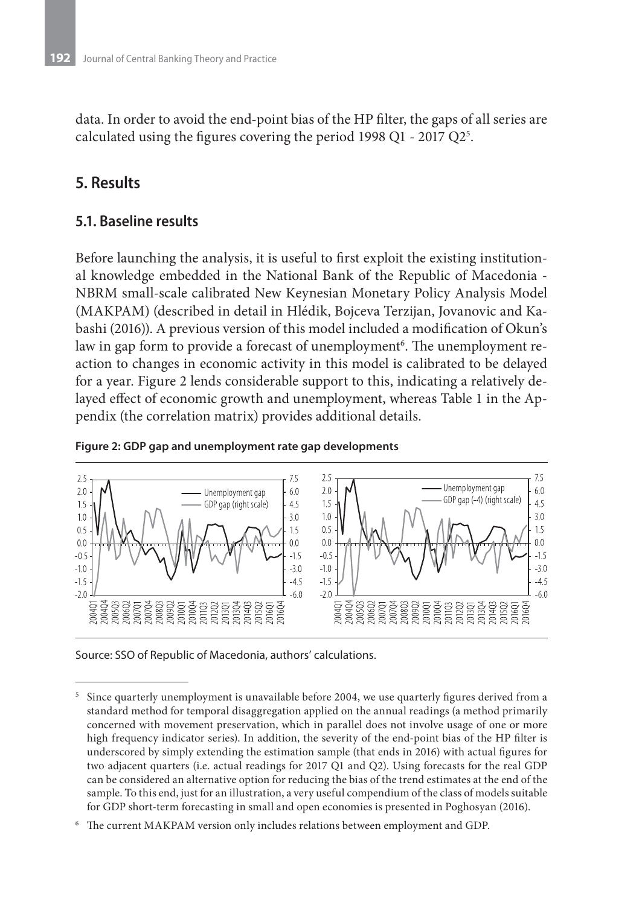data. In order to avoid the end-point bias of the HP filter, the gaps of all series are calculated using the figures covering the period 1998 Q1 - 2017 Q2 $^{5}$ .

## **5. Results**

#### **5.1. Baseline results**

Before launching the analysis, it is useful to first exploit the existing institutional knowledge embedded in the National Bank of the Republic of Macedonia - NBRM small-scale calibrated New Keynesian Monetary Policy Analysis Model (MAKPAM) (described in detail in Hlédik, Bojceva Terzijan, Jovanovic and Kabashi (2016)). A previous version of this model included a modification of Okun's law in gap form to provide a forecast of unemployment<sup>6</sup>. The unemployment reaction to changes in economic activity in this model is calibrated to be delayed for a year. Figure 2 lends considerable support to this, indicating a relatively delayed effect of economic growth and unemployment, whereas Table 1 in the Appendix (the correlation matrix) provides additional details.



#### **Figure 2: GDP gap and unemployment rate gap developments**

Source: SSO of Republic of Macedonia, authors' calculations.

<sup>5</sup> Since quarterly unemployment is unavailable before 2004, we use quarterly figures derived from a standard method for temporal disaggregation applied on the annual readings (a method primarily concerned with movement preservation, which in parallel does not involve usage of one or more high frequency indicator series). In addition, the severity of the end-point bias of the HP filter is underscored by simply extending the estimation sample (that ends in 2016) with actual figures for two adjacent quarters (i.e. actual readings for 2017 Q1 and Q2). Using forecasts for the real GDP can be considered an alternative option for reducing the bias of the trend estimates at the end of the sample. To this end, just for an illustration, a very useful compendium of the class of models suitable for GDP short-term forecasting in small and open economies is presented in Poghosyan (2016).

<sup>6</sup> The current MAKPAM version only includes relations between employment and GDP.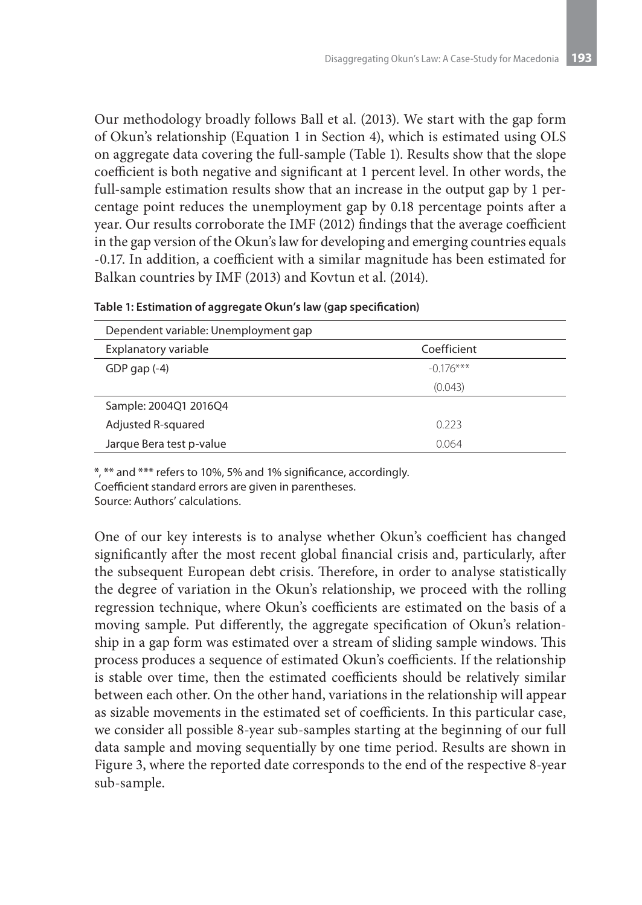Our methodology broadly follows Ball et al. (2013). We start with the gap form of Okun's relationship (Equation 1 in Section 4), which is estimated using OLS on aggregate data covering the full-sample (Table 1). Results show that the slope coefficient is both negative and significant at 1 percent level. In other words, the full-sample estimation results show that an increase in the output gap by 1 percentage point reduces the unemployment gap by 0.18 percentage points after a year. Our results corroborate the IMF (2012) findings that the average coefficient in the gap version of the Okun's law for developing and emerging countries equals -0.17. In addition, a coefficient with a similar magnitude has been estimated for Balkan countries by IMF (2013) and Kovtun et al. (2014).

| Dependent variable: Unemployment gap |             |
|--------------------------------------|-------------|
| Explanatory variable                 | Coefficient |
| GDP gap $(-4)$                       | $-0.176***$ |
|                                      | (0.043)     |
| Sample: 2004Q1 2016Q4                |             |
| Adjusted R-squared                   | 0.223       |
| Jarque Bera test p-value             | 0.064       |

|  |  |  |  | Table 1: Estimation of aggregate Okun's law (gap specification) |
|--|--|--|--|-----------------------------------------------------------------|
|--|--|--|--|-----------------------------------------------------------------|

\*, \*\* and \*\*\* refers to 10%, 5% and 1% significance, accordingly.

Coefficient standard errors are given in parentheses.

Source: Authors' calculations.

One of our key interests is to analyse whether Okun's coefficient has changed significantly after the most recent global financial crisis and, particularly, after the subsequent European debt crisis. Therefore, in order to analyse statistically the degree of variation in the Okun's relationship, we proceed with the rolling regression technique, where Okun's coefficients are estimated on the basis of a moving sample. Put differently, the aggregate specification of Okun's relationship in a gap form was estimated over a stream of sliding sample windows. This process produces a sequence of estimated Okun's coefficients. If the relationship is stable over time, then the estimated coefficients should be relatively similar between each other. On the other hand, variations in the relationship will appear as sizable movements in the estimated set of coefficients. In this particular case, we consider all possible 8-year sub-samples starting at the beginning of our full data sample and moving sequentially by one time period. Results are shown in Figure 3, where the reported date corresponds to the end of the respective 8-year sub-sample.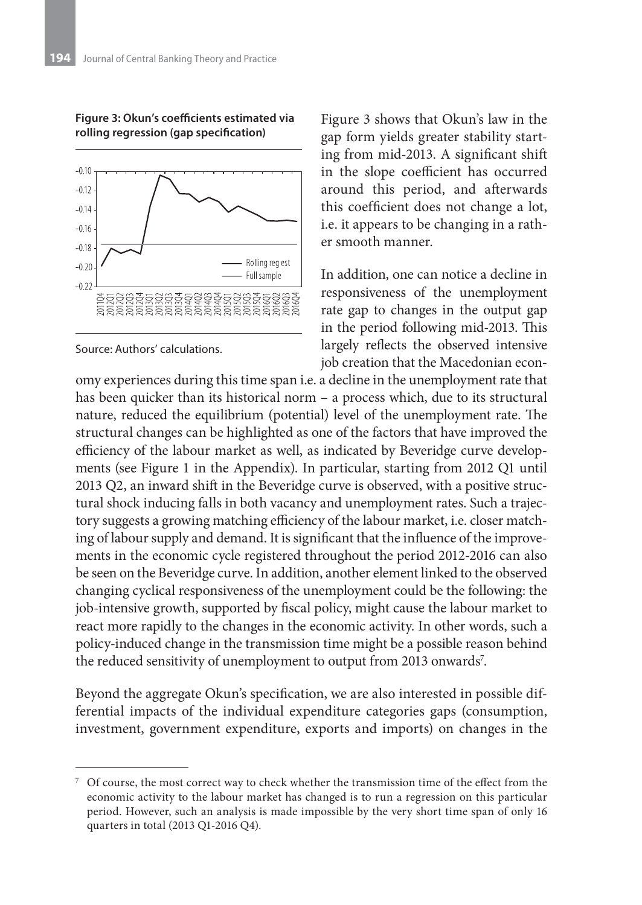

**Figure 3: Okun's coefficients estimated via rolling regression (gap specification)**

Source: Authors' calculations.

Figure 3 shows that Okun's law in the gap form yields greater stability starting from mid-2013. A significant shift in the slope coefficient has occurred around this period, and afterwards this coefficient does not change a lot, i.e. it appears to be changing in a rather smooth manner.

In addition, one can notice a decline in responsiveness of the unemployment rate gap to changes in the output gap in the period following mid-2013. This largely reflects the observed intensive job creation that the Macedonian econ-

omy experiences during this time span i.e. a decline in the unemployment rate that has been quicker than its historical norm – a process which, due to its structural nature, reduced the equilibrium (potential) level of the unemployment rate. The structural changes can be highlighted as one of the factors that have improved the efficiency of the labour market as well, as indicated by Beveridge curve developments (see Figure 1 in the Appendix). In particular, starting from 2012 Q1 until 2013 Q2, an inward shift in the Beveridge curve is observed, with a positive structural shock inducing falls in both vacancy and unemployment rates. Such a trajectory suggests a growing matching efficiency of the labour market, i.e. closer matching of labour supply and demand. It is significant that the influence of the improvements in the economic cycle registered throughout the period 2012-2016 can also be seen on the Beveridge curve. In addition, another element linked to the observed changing cyclical responsiveness of the unemployment could be the following: the job-intensive growth, supported by fiscal policy, might cause the labour market to react more rapidly to the changes in the economic activity. In other words, such a policy-induced change in the transmission time might be a possible reason behind the reduced sensitivity of unemployment to output from 2013 onwards<sup>7</sup>.

Beyond the aggregate Okun's specification, we are also interested in possible differential impacts of the individual expenditure categories gaps (consumption, investment, government expenditure, exports and imports) on changes in the

<sup>7</sup> Of course, the most correct way to check whether the transmission time of the effect from the economic activity to the labour market has changed is to run a regression on this particular period. However, such an analysis is made impossible by the very short time span of only 16 quarters in total (2013 Q1-2016 Q4).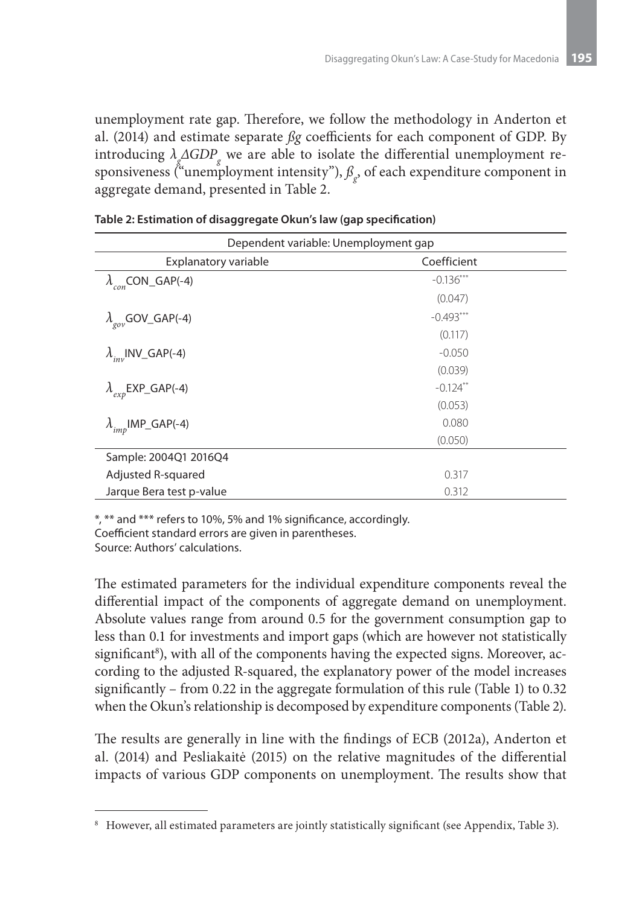unemployment rate gap. Therefore, we follow the methodology in Anderton et al. (2014) and estimate separate *ßg* coefficients for each component of GDP. By introducing  $\lambda_g \triangle GDP_g$  we are able to isolate the differential unemployment responsiveness ("unemployment intensity"),  $\beta_{g}$ , of each expenditure component in aggregate demand, presented in Table 2.

| Dependent variable: Unemployment gap |             |  |  |  |
|--------------------------------------|-------------|--|--|--|
| Explanatory variable                 | Coefficient |  |  |  |
| $\lambda_{con}$ CON_GAP(-4)          | $-0.136***$ |  |  |  |
|                                      | (0.047)     |  |  |  |
| $\lambda_{\rm gov}$ GOV_GAP(-4)      | $-0.493***$ |  |  |  |
|                                      | (0.117)     |  |  |  |
| $\lambda_{inv}$ INV_GAP(-4)          | $-0.050$    |  |  |  |
|                                      | (0.039)     |  |  |  |
| $\lambda_{exp}$ EXP_GAP(-4)          | $-0.124$ ** |  |  |  |
|                                      | (0.053)     |  |  |  |
| $\lambda_{imp}$ IMP_GAP(-4)          | 0.080       |  |  |  |
|                                      | (0.050)     |  |  |  |
| Sample: 2004Q1 2016Q4                |             |  |  |  |
| Adjusted R-squared                   | 0.317       |  |  |  |
| Jarque Bera test p-value             | 0.312       |  |  |  |

|  | Table 2: Estimation of disaggregate Okun's law (gap specification) |  |
|--|--------------------------------------------------------------------|--|
|--|--------------------------------------------------------------------|--|

\*, \*\* and \*\*\* refers to 10%, 5% and 1% significance, accordingly.

Coefficient standard errors are given in parentheses.

Source: Authors' calculations.

The estimated parameters for the individual expenditure components reveal the differential impact of the components of aggregate demand on unemployment. Absolute values range from around 0.5 for the government consumption gap to less than 0.1 for investments and import gaps (which are however not statistically significant<sup>8</sup>), with all of the components having the expected signs. Moreover, according to the adjusted R-squared, the explanatory power of the model increases significantly – from 0.22 in the aggregate formulation of this rule (Table 1) to 0.32 when the Okun's relationship is decomposed by expenditure components (Table 2).

The results are generally in line with the findings of ECB (2012a), Anderton et al. (2014) and Pesliakaitė (2015) on the relative magnitudes of the differential impacts of various GDP components on unemployment. The results show that

<sup>8</sup> However, all estimated parameters are jointly statistically significant (see Appendix, Table 3).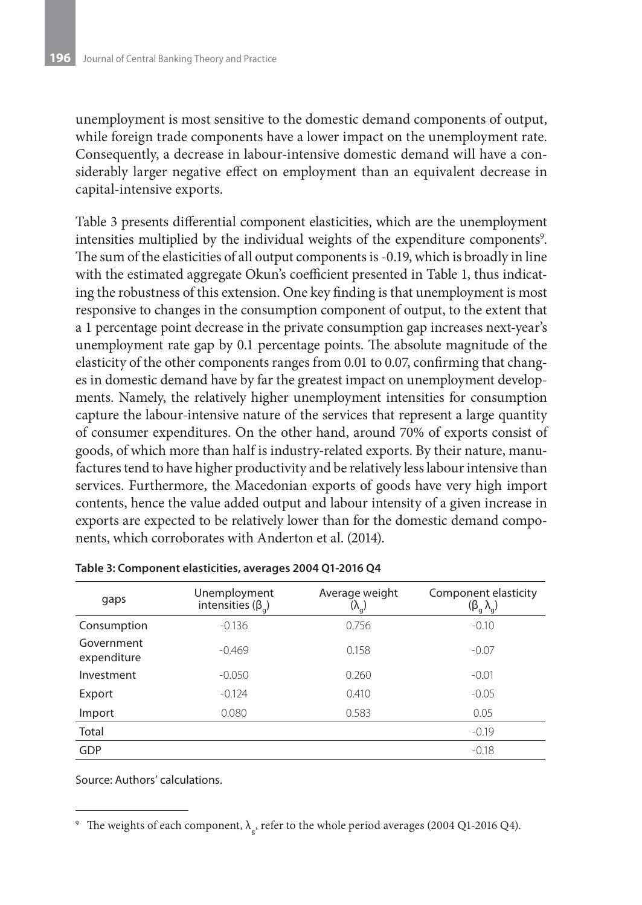unemployment is most sensitive to the domestic demand components of output, while foreign trade components have a lower impact on the unemployment rate. Consequently, a decrease in labour-intensive domestic demand will have a considerably larger negative effect on employment than an equivalent decrease in capital-intensive exports.

Table 3 presents differential component elasticities, which are the unemployment intensities multiplied by the individual weights of the expenditure components<sup>9</sup>. The sum of the elasticities of all output components is -0.19, which is broadly in line with the estimated aggregate Okun's coefficient presented in Table 1, thus indicating the robustness of this extension. One key finding is that unemployment is most responsive to changes in the consumption component of output, to the extent that a 1 percentage point decrease in the private consumption gap increases next-year's unemployment rate gap by 0.1 percentage points. The absolute magnitude of the elasticity of the other components ranges from 0.01 to 0.07, confirming that changes in domestic demand have by far the greatest impact on unemployment developments. Namely, the relatively higher unemployment intensities for consumption capture the labour-intensive nature of the services that represent a large quantity of consumer expenditures. On the other hand, around 70% of exports consist of goods, of which more than half is industry-related exports. By their nature, manufactures tend to have higher productivity and be relatively less labour intensive than services. Furthermore, the Macedonian exports of goods have very high import contents, hence the value added output and labour intensity of a given increase in exports are expected to be relatively lower than for the domestic demand components, which corroborates with Anderton et al. (2014).

| gaps                      | Unemployment<br>intensities ( $\beta$ <sub>a</sub> ) | Average weight<br>$(\lambda_{\rm q})$ | Component elasticity<br>$(\beta_g \lambda_g)$ |
|---------------------------|------------------------------------------------------|---------------------------------------|-----------------------------------------------|
| Consumption               | $-0.136$                                             | 0.756                                 | $-0.10$                                       |
| Government<br>expenditure | $-0.469$                                             | 0.158                                 | $-0.07$                                       |
| Investment                | $-0.050$                                             | 0.260                                 | $-0.01$                                       |
| Export                    | $-0.124$                                             | 0.410                                 | $-0.05$                                       |
| Import                    | 0.080                                                | 0.583                                 | 0.05                                          |
| Total                     |                                                      |                                       | $-0.19$                                       |
| GDP                       |                                                      |                                       | $-0.18$                                       |

| Table 3: Component elasticities, averages 2004 Q1-2016 Q4 |  |
|-----------------------------------------------------------|--|
|-----------------------------------------------------------|--|

<sup>&</sup>lt;sup>9</sup> The weights of each component,  $\lambda_{\rm g}$ , refer to the whole period averages (2004 Q1-2016 Q4).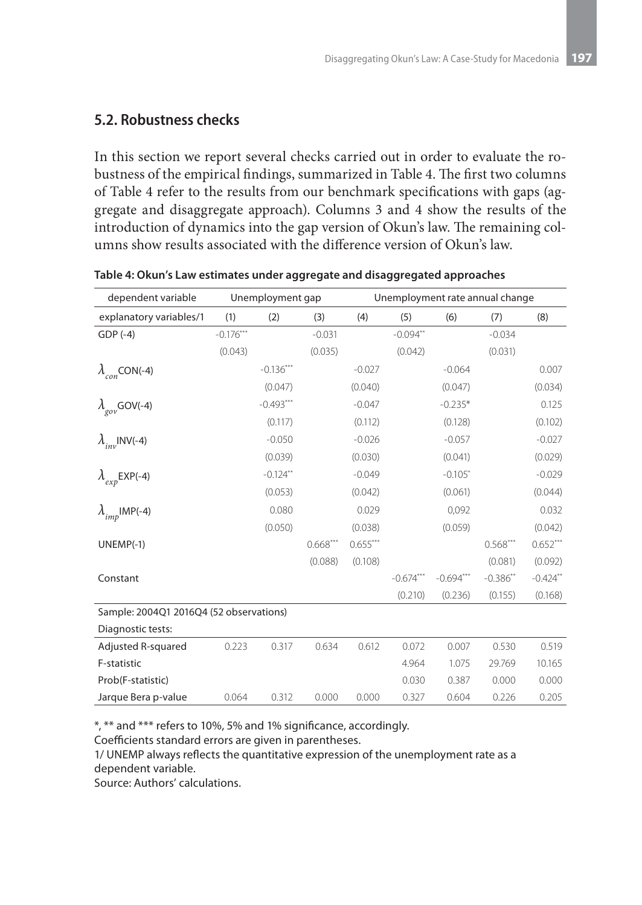#### **5.2. Robustness checks**

In this section we report several checks carried out in order to evaluate the robustness of the empirical findings, summarized in Table 4. The first two columns of Table 4 refer to the results from our benchmark specifications with gaps (aggregate and disaggregate approach). Columns 3 and 4 show the results of the introduction of dynamics into the gap version of Okun's law. The remaining columns show results associated with the difference version of Okun's law.

| dependent variable                      | Unemployment gap |             |            | Unemployment rate annual change |             |             |               |            |
|-----------------------------------------|------------------|-------------|------------|---------------------------------|-------------|-------------|---------------|------------|
| explanatory variables/1                 | (1)              | (2)         | (3)        | (4)                             | (5)         | (6)         | (7)           | (8)        |
| $GDP(-4)$                               | $-0.176***$      |             | $-0.031$   |                                 | $-0.094**$  |             | $-0.034$      |            |
|                                         | (0.043)          |             | (0.035)    |                                 | (0.042)     |             | (0.031)       |            |
| $\lambda_{con}$ CON(-4)                 |                  | $-0.136***$ |            | $-0.027$                        |             | $-0.064$    |               | 0.007      |
|                                         |                  | (0.047)     |            | (0.040)                         |             | (0.047)     |               | (0.034)    |
| $\lambda_{\text{gov}}$ GOV(-4)          |                  | $-0.493***$ |            | $-0.047$                        |             | $-0.235*$   |               | 0.125      |
|                                         |                  | (0.117)     |            | (0.112)                         |             | (0.128)     |               | (0.102)    |
| $\lambda_{inv}$ INV(-4)                 |                  | $-0.050$    |            | $-0.026$                        |             | $-0.057$    |               | $-0.027$   |
|                                         |                  | (0.039)     |            | (0.030)                         |             | (0.041)     |               | (0.029)    |
| $\lambda$ <sub>exp</sub> EXP(-4)        |                  | $-0.124**$  |            | $-0.049$                        |             | $-0.105$ *  |               | $-0.029$   |
|                                         |                  | (0.053)     |            | (0.042)                         |             | (0.061)     |               | (0.044)    |
| $\lambda$ <sub>imp</sub> IMP(-4)        |                  | 0.080       |            | 0.029                           |             | 0,092       |               | 0.032      |
|                                         |                  | (0.050)     |            | (0.038)                         |             | (0.059)     |               | (0.042)    |
| $UNEMP(-1)$                             |                  |             | $0.668***$ | $0.655***$                      |             |             | $0.568***$    | $0.652***$ |
|                                         |                  |             | (0.088)    | (0.108)                         |             |             | (0.081)       | (0.092)    |
| Constant                                |                  |             |            |                                 | $-0.674***$ | $-0.694***$ | $-0.386^{**}$ | $-0.424**$ |
|                                         |                  |             |            |                                 | (0.210)     | (0.236)     | (0.155)       | (0.168)    |
| Sample: 2004Q1 2016Q4 (52 observations) |                  |             |            |                                 |             |             |               |            |
| Diagnostic tests:                       |                  |             |            |                                 |             |             |               |            |
| Adjusted R-squared                      | 0.223            | 0.317       | 0.634      | 0.612                           | 0.072       | 0.007       | 0.530         | 0.519      |
| F-statistic                             |                  |             |            |                                 | 4.964       | 1.075       | 29.769        | 10.165     |
| Prob(F-statistic)                       |                  |             |            |                                 | 0.030       | 0.387       | 0.000         | 0.000      |
| Jarque Bera p-value                     | 0.064            | 0.312       | 0.000      | 0.000                           | 0.327       | 0.604       | 0.226         | 0.205      |

**Table 4: Okun's Law estimates under aggregate and disaggregated approaches**

\*, \*\* and \*\*\* refers to 10%, 5% and 1% significance, accordingly.

Coefficients standard errors are given in parentheses.

1/ UNEMP always reflects the quantitative expression of the unemployment rate as a dependent variable.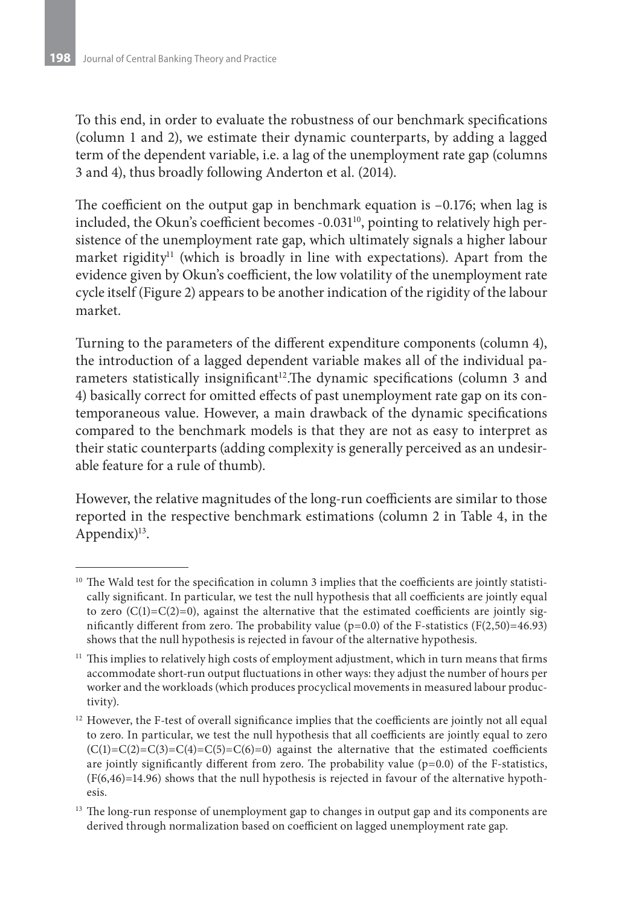To this end, in order to evaluate the robustness of our benchmark specifications (column 1 and 2), we estimate their dynamic counterparts, by adding a lagged term of the dependent variable, i.e. a lag of the unemployment rate gap (columns 3 and 4), thus broadly following Anderton et al. (2014).

The coefficient on the output gap in benchmark equation is –0.176; when lag is included, the Okun's coefficient becomes -0.031<sup>10</sup>, pointing to relatively high persistence of the unemployment rate gap, which ultimately signals a higher labour market rigidity<sup>11</sup> (which is broadly in line with expectations). Apart from the evidence given by Okun's coefficient, the low volatility of the unemployment rate cycle itself (Figure 2) appears to be another indication of the rigidity of the labour market.

Turning to the parameters of the different expenditure components (column 4), the introduction of a lagged dependent variable makes all of the individual parameters statistically insignificant<sup>12</sup>. The dynamic specifications (column 3 and 4) basically correct for omitted effects of past unemployment rate gap on its contemporaneous value. However, a main drawback of the dynamic specifications compared to the benchmark models is that they are not as easy to interpret as their static counterparts (adding complexity is generally perceived as an undesirable feature for a rule of thumb).

However, the relative magnitudes of the long-run coefficients are similar to those reported in the respective benchmark estimations (column 2 in Table 4, in the Appendix $)^{13}$ .

<sup>&</sup>lt;sup>10</sup> The Wald test for the specification in column 3 implies that the coefficients are jointly statistically significant. In particular, we test the null hypothesis that all coefficients are jointly equal to zero  $(C(1)=C(2)=0)$ , against the alternative that the estimated coefficients are jointly significantly different from zero. The probability value ( $p=0.0$ ) of the F-statistics ( $F(2,50)=46.93$ ) shows that the null hypothesis is rejected in favour of the alternative hypothesis.

 $11$  This implies to relatively high costs of employment adjustment, which in turn means that firms accommodate short-run output fluctuations in other ways: they adjust the number of hours per worker and the workloads (which produces procyclical movements in measured labour productivity).

 $12$  However, the F-test of overall significance implies that the coefficients are jointly not all equal to zero. In particular, we test the null hypothesis that all coefficients are jointly equal to zero  $(C(1)=C(2)=C(3)=C(4)=C(5)=C(6)=0)$  against the alternative that the estimated coefficients are jointly significantly different from zero. The probability value  $(p=0.0)$  of the F-statistics,  $(F(6,46)=14.96)$  shows that the null hypothesis is rejected in favour of the alternative hypothesis.

<sup>&</sup>lt;sup>13</sup> The long-run response of unemployment gap to changes in output gap and its components are derived through normalization based on coefficient on lagged unemployment rate gap.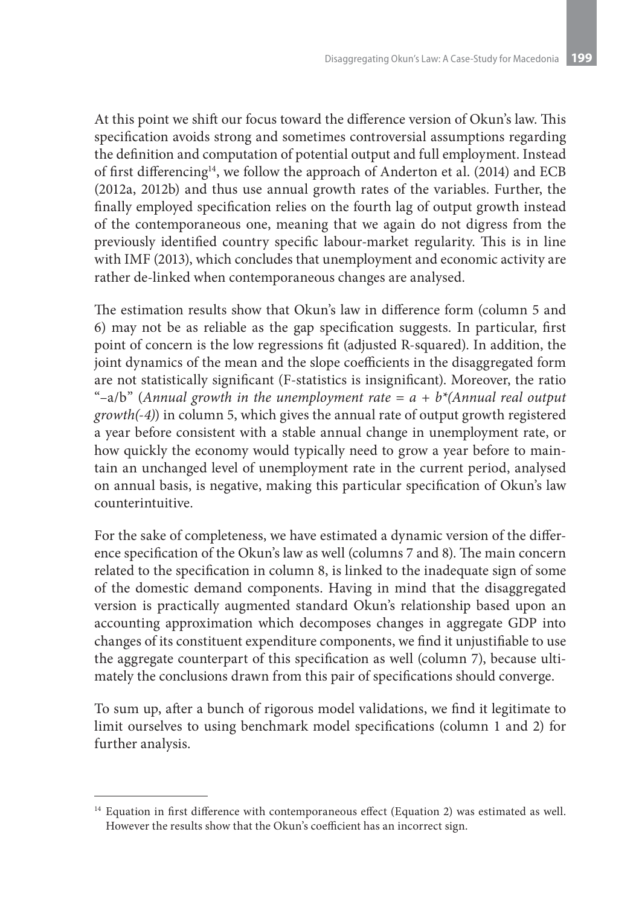At this point we shift our focus toward the difference version of Okun's law. This specification avoids strong and sometimes controversial assumptions regarding the definition and computation of potential output and full employment. Instead of first differencing14, we follow the approach of Anderton et al. (2014) and ECB (2012a, 2012b) and thus use annual growth rates of the variables. Further, the finally employed specification relies on the fourth lag of output growth instead of the contemporaneous one, meaning that we again do not digress from the previously identified country specific labour-market regularity. This is in line with IMF (2013), which concludes that unemployment and economic activity are rather de-linked when contemporaneous changes are analysed.

The estimation results show that Okun's law in difference form (column 5 and 6) may not be as reliable as the gap specification suggests. In particular, first point of concern is the low regressions fit (adjusted R-squared). In addition, the joint dynamics of the mean and the slope coefficients in the disaggregated form are not statistically significant (F-statistics is insignificant). Moreover, the ratio "-a/b" (Annual growth in the unemployment rate  $= a + b^{*}$ (Annual real output *growth(-4)*) in column 5, which gives the annual rate of output growth registered a year before consistent with a stable annual change in unemployment rate, or how quickly the economy would typically need to grow a year before to maintain an unchanged level of unemployment rate in the current period, analysed on annual basis, is negative, making this particular specification of Okun's law counterintuitive.

For the sake of completeness, we have estimated a dynamic version of the difference specification of the Okun's law as well (columns 7 and 8). The main concern related to the specification in column 8, is linked to the inadequate sign of some of the domestic demand components. Having in mind that the disaggregated version is practically augmented standard Okun's relationship based upon an accounting approximation which decomposes changes in aggregate GDP into changes of its constituent expenditure components, we find it unjustifiable to use the aggregate counterpart of this specification as well (column 7), because ultimately the conclusions drawn from this pair of specifications should converge.

To sum up, after a bunch of rigorous model validations, we find it legitimate to limit ourselves to using benchmark model specifications (column 1 and 2) for further analysis.

<sup>&</sup>lt;sup>14</sup> Equation in first difference with contemporaneous effect (Equation 2) was estimated as well. However the results show that the Okun's coefficient has an incorrect sign.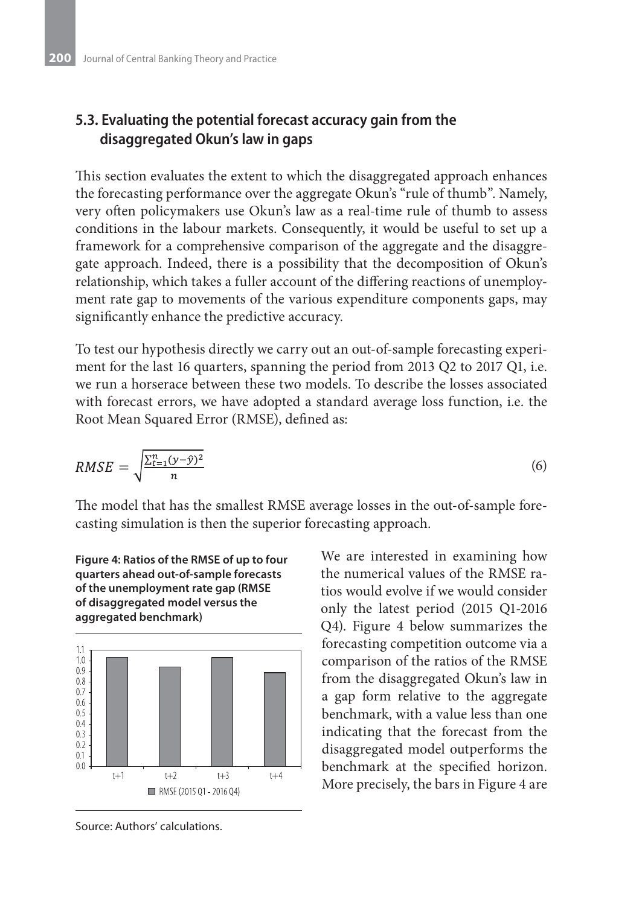### **5.3. Evaluating the potential forecast accuracy gain from the disaggregated Okun's law in gaps**

This section evaluates the extent to which the disaggregated approach enhances the forecasting performance over the aggregate Okun's "rule of thumb". Namely, very often policymakers use Okun's law as a real-time rule of thumb to assess conditions in the labour markets. Consequently, it would be useful to set up a framework for a comprehensive comparison of the aggregate and the disaggregate approach. Indeed, there is a possibility that the decomposition of Okun's relationship, which takes a fuller account of the differing reactions of unemployment rate gap to movements of the various expenditure components gaps, may significantly enhance the predictive accuracy.

To test our hypothesis directly we carry out an out-of-sample forecasting experiment for the last 16 quarters, spanning the period from 2013 Q2 to 2017 Q1, i.e. we run a horserace between these two models. To describe the losses associated with forecast errors, we have adopted a standard average loss function, i.e. the Root Mean Squared Error (RMSE), defined as:

$$
RMSE = \sqrt{\frac{\sum_{t=1}^{n} (y - \hat{y})^2}{n}}
$$
\n
$$
\tag{6}
$$

The model that has the smallest RMSE average losses in the out-of-sample forecasting simulation is then the superior forecasting approach.



**Figure 4: Ratios of the RMSE of up to four** 

We are interested in examining how the numerical values of the RMSE ratios would evolve if we would consider only the latest period (2015 Q1-2016 Q4). Figure 4 below summarizes the forecasting competition outcome via a comparison of the ratios of the RMSE from the disaggregated Okun's law in a gap form relative to the aggregate benchmark, with a value less than one indicating that the forecast from the disaggregated model outperforms the benchmark at the specified horizon. More precisely, the bars in Figure 4 are



 $t+2$ 

RMSE (2015 Q1 - 2016 Q4)

 $t + 3$ 

 $t + 4$ 

 $t+1$ 

 $0.4$  $0.3$  $0.2$  $0.1$  $0<sup>0</sup>$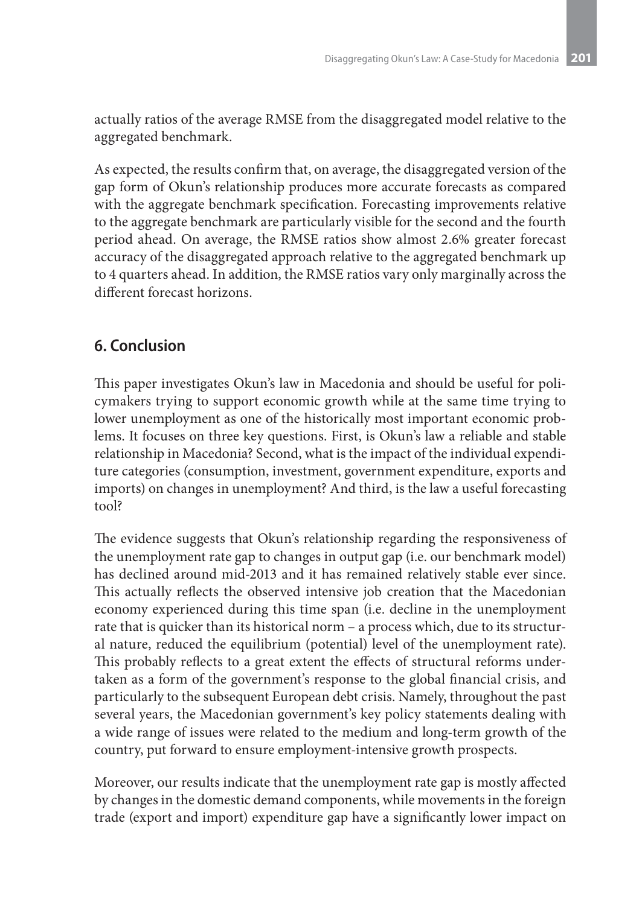actually ratios of the average RMSE from the disaggregated model relative to the aggregated benchmark.

As expected, the results confirm that, on average, the disaggregated version of the gap form of Okun's relationship produces more accurate forecasts as compared with the aggregate benchmark specification. Forecasting improvements relative to the aggregate benchmark are particularly visible for the second and the fourth period ahead. On average, the RMSE ratios show almost 2.6% greater forecast accuracy of the disaggregated approach relative to the aggregated benchmark up to 4 quarters ahead. In addition, the RMSE ratios vary only marginally across the different forecast horizons.

# **6. Conclusion**

This paper investigates Okun's law in Macedonia and should be useful for policymakers trying to support economic growth while at the same time trying to lower unemployment as one of the historically most important economic problems. It focuses on three key questions. First, is Okun's law a reliable and stable relationship in Macedonia? Second, what is the impact of the individual expenditure categories (consumption, investment, government expenditure, exports and imports) on changes in unemployment? And third, is the law a useful forecasting tool?

The evidence suggests that Okun's relationship regarding the responsiveness of the unemployment rate gap to changes in output gap (i.e. our benchmark model) has declined around mid-2013 and it has remained relatively stable ever since. This actually reflects the observed intensive job creation that the Macedonian economy experienced during this time span (i.e. decline in the unemployment rate that is quicker than its historical norm – a process which, due to its structural nature, reduced the equilibrium (potential) level of the unemployment rate). This probably reflects to a great extent the effects of structural reforms undertaken as a form of the government's response to the global financial crisis, and particularly to the subsequent European debt crisis. Namely, throughout the past several years, the Macedonian government's key policy statements dealing with a wide range of issues were related to the medium and long-term growth of the country, put forward to ensure employment-intensive growth prospects.

Moreover, our results indicate that the unemployment rate gap is mostly affected by changes in the domestic demand components, while movements in the foreign trade (export and import) expenditure gap have a significantly lower impact on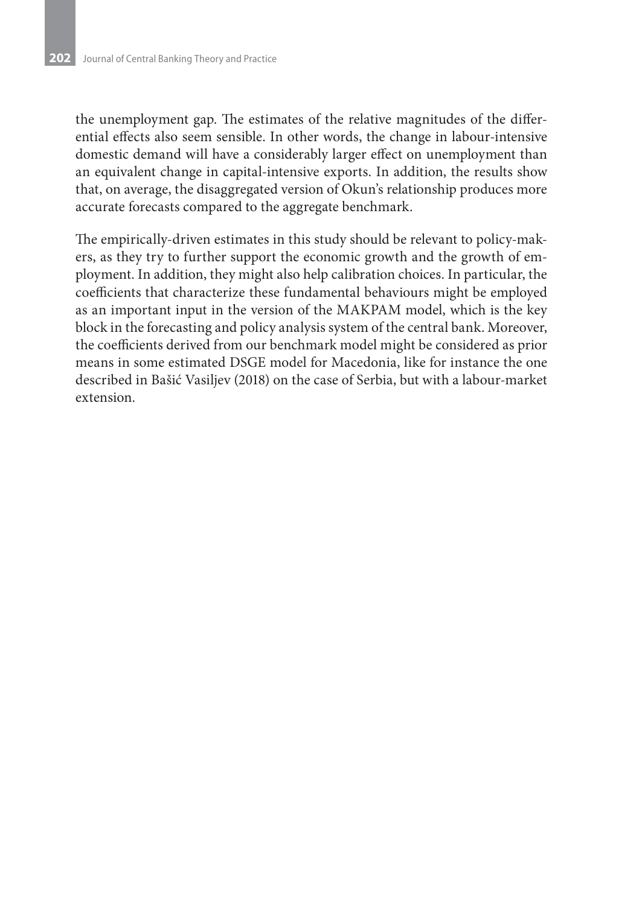the unemployment gap. The estimates of the relative magnitudes of the differential effects also seem sensible. In other words, the change in labour-intensive domestic demand will have a considerably larger effect on unemployment than an equivalent change in capital-intensive exports. In addition, the results show that, on average, the disaggregated version of Okun's relationship produces more accurate forecasts compared to the aggregate benchmark.

The empirically-driven estimates in this study should be relevant to policy-makers, as they try to further support the economic growth and the growth of employment. In addition, they might also help calibration choices. In particular, the coefficients that characterize these fundamental behaviours might be employed as an important input in the version of the MAKPAM model, which is the key block in the forecasting and policy analysis system of the central bank. Moreover, the coefficients derived from our benchmark model might be considered as prior means in some estimated DSGE model for Macedonia, like for instance the one described in Bašić Vasiljev (2018) on the case of Serbia, but with a labour-market extension.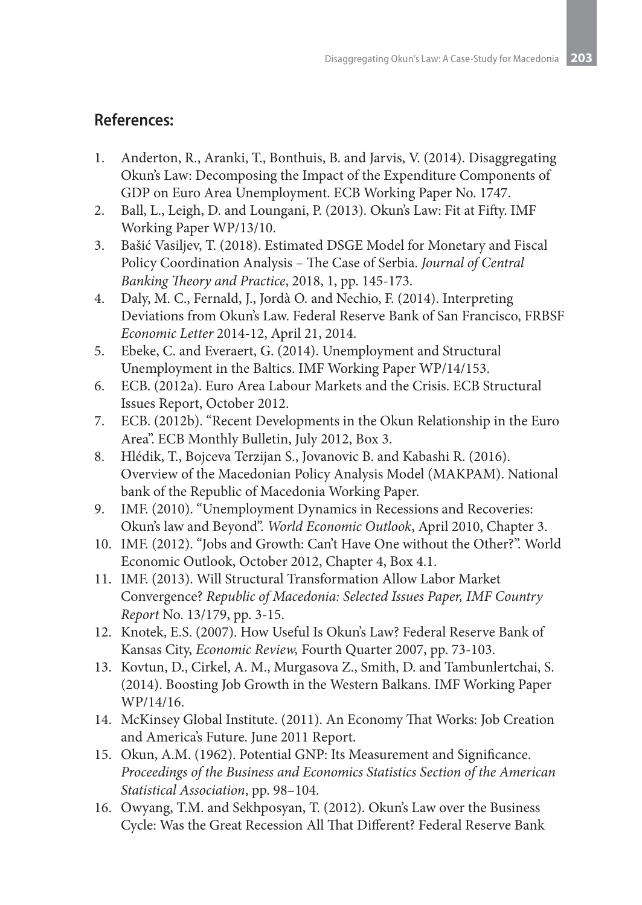### **References:**

- 1. Anderton, R., Aranki, T., Bonthuis, B. and Jarvis, V. (2014). Disaggregating Okun's Law: Decomposing the Impact of the Expenditure Components of GDP on Euro Area Unemployment. ECB Working Paper No. 1747.
- 2. Ball, L., Leigh, D. and Loungani, P. (2013). Okun's Law: Fit at Fifty. IMF Working Paper WP/13/10.
- 3. Bašić Vasiljev, T. (2018). Estimated DSGE Model for Monetary and Fiscal Policy Coordination Analysis – The Case of Serbia. *Journal of Central Banking Theory and Practice*, 2018, 1, pp. 145-173.
- 4. Daly, M. C., Fernald, J., Jordà O. and Nechio, F. (2014). Interpreting Deviations from Okun's Law. Federal Reserve Bank of San Francisco, FRBSF *Economic Letter* 2014-12, April 21, 2014.
- 5. Ebeke, C. and Everaert, G. (2014). Unemployment and Structural Unemployment in the Baltics. IMF Working Paper WP/14/153.
- 6. ECB. (2012a). Euro Area Labour Markets and the Crisis. ECB Structural Issues Report, October 2012.
- 7. ECB. (2012b). "Recent Developments in the Okun Relationship in the Euro Area". ECB Monthly Bulletin, July 2012, Box 3.
- 8. Hlédik, T., Bojceva Terzijan S., Jovanovic B. and Kabashi R. (2016). Overview of the Macedonian Policy Analysis Model (MAKPAM). National bank of the Republic of Macedonia Working Paper.
- 9. IMF. (2010). "Unemployment Dynamics in Recessions and Recoveries: Okun's law and Beyond". *World Economic Outlook*, April 2010, Chapter 3.
- 10. IMF. (2012). "Jobs and Growth: Can't Have One without the Other?". World Economic Outlook, October 2012, Chapter 4, Box 4.1.
- 11. IMF. (2013). Will Structural Transformation Allow Labor Market Convergence? *Republic of Macedonia: Selected Issues Paper, IMF Country Report* No. 13/179, pp. 3-15.
- 12. Knotek, E.S. (2007). How Useful Is Okun's Law? Federal Reserve Bank of Kansas City, *Economic Review,* Fourth Quarter 2007, pp. 73-103.
- 13. Kovtun, D., Cirkel, A. M., Murgasova Z., Smith, D. and Tambunlertchai, S. (2014). Boosting Job Growth in the Western Balkans. IMF Working Paper WP/14/16.
- 14. McKinsey Global Institute. (2011). An Economy That Works: Job Creation and America's Future. June 2011 Report.
- 15. Okun, A.M. (1962). Potential GNP: Its Measurement and Significance. *Proceedings of the Business and Economics Statistics Section of the American Statistical Association*, pp. 98–104.
- 16. Owyang, T.M. and Sekhposyan, T. (2012). Okun's Law over the Business Cycle: Was the Great Recession All That Different? Federal Reserve Bank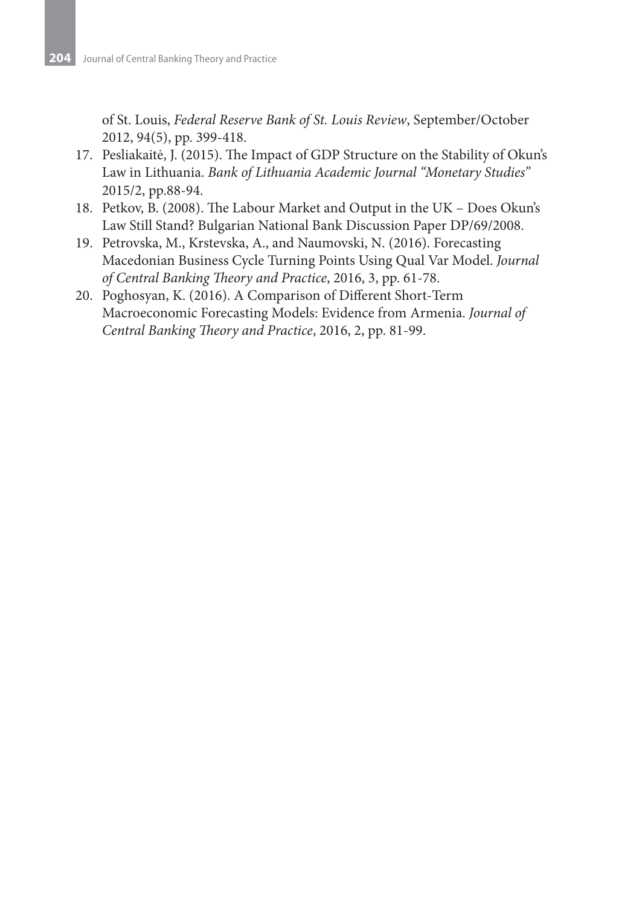of St. Louis, *Federal Reserve Bank of St. Louis Review*, September/October 2012, 94(5), pp. 399-418.

- 17. Pesliakaitė, J. (2015). The Impact of GDP Structure on the Stability of Okun's Law in Lithuania. *Bank of Lithuania Academic Journal "Monetary Studies"* 2015/2, pp.88-94.
- 18. Petkov, B. (2008). The Labour Market and Output in the UK Does Okun's Law Still Stand? Bulgarian National Bank Discussion Paper DP/69/2008.
- 19. Petrovska, M., Krstevska, A., and Naumovski, N. (2016). Forecasting Macedonian Business Cycle Turning Points Using Qual Var Model. *Journal of Central Banking Theory and Practice*, 2016, 3, pp. 61-78.
- 20. Poghosyan, K. (2016). A Comparison of Different Short-Term Macroeconomic Forecasting Models: Evidence from Armenia. *Journal of Central Banking Theory and Practice*, 2016, 2, pp. 81-99.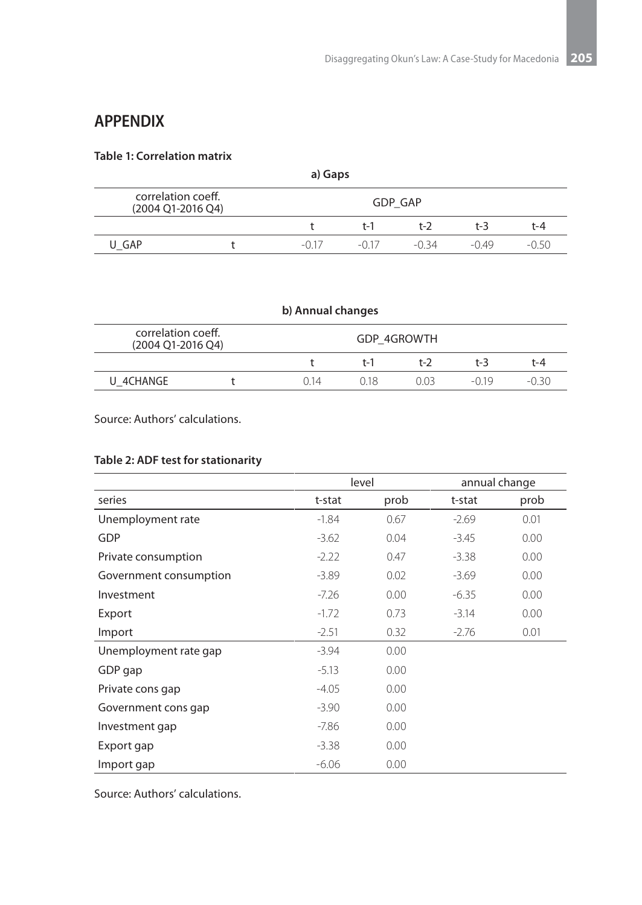# **APPENDIX**

#### **Table 1: Correlation matrix**

| a) Gaps                                                   |  |         |         |       |         |         |
|-----------------------------------------------------------|--|---------|---------|-------|---------|---------|
| correlation coeff.<br><b>GDP GAP</b><br>(2004 Q1-2016 Q4) |  |         |         |       |         |         |
|                                                           |  |         | t-1     | t-2   | $t - 3$ | t-4     |
| U GAP                                                     |  | $-0.17$ | $-0.17$ | -0.34 | $-0.49$ | $-0.50$ |

| b) Annual changes                                      |  |      |     |      |         |       |
|--------------------------------------------------------|--|------|-----|------|---------|-------|
| correlation coeff.<br>GDP 4GROWTH<br>(2004 Q1-2016 Q4) |  |      |     |      |         |       |
|                                                        |  |      | t-1 | t-2  | $t - 3$ | t-4   |
| U 4CHANGE                                              |  | O 14 | 018 | 0.03 | $-0.19$ | -0.30 |

Source: Authors' calculations.

#### **Table 2: ADF test for stationarity**

|                        |         | level | annual change |      |
|------------------------|---------|-------|---------------|------|
| series                 | t-stat  | prob  | t-stat        | prob |
| Unemployment rate      | $-1.84$ | 0.67  | $-2.69$       | 0.01 |
| GDP                    | $-3.62$ | 0.04  | $-3.45$       | 0.00 |
| Private consumption    | $-2.22$ | 0.47  | $-3.38$       | 0.00 |
| Government consumption | $-3.89$ | 0.02  | $-3.69$       | 0.00 |
| Investment             | $-7.26$ | 0.00  | $-6.35$       | 0.00 |
| Export                 | $-1.72$ | 0.73  | $-3.14$       | 0.00 |
| Import                 | $-2.51$ | 0.32  | $-2.76$       | 0.01 |
| Unemployment rate gap  | $-3.94$ | 0.00  |               |      |
| GDP gap                | $-5.13$ | 0.00  |               |      |
| Private cons gap       | $-4.05$ | 0.00  |               |      |
| Government cons gap    | $-3.90$ | 0.00  |               |      |
| Investment gap         | $-7.86$ | 0.00  |               |      |
| Export gap             | $-3.38$ | 0.00  |               |      |
| Import gap             | $-6.06$ | 0.00  |               |      |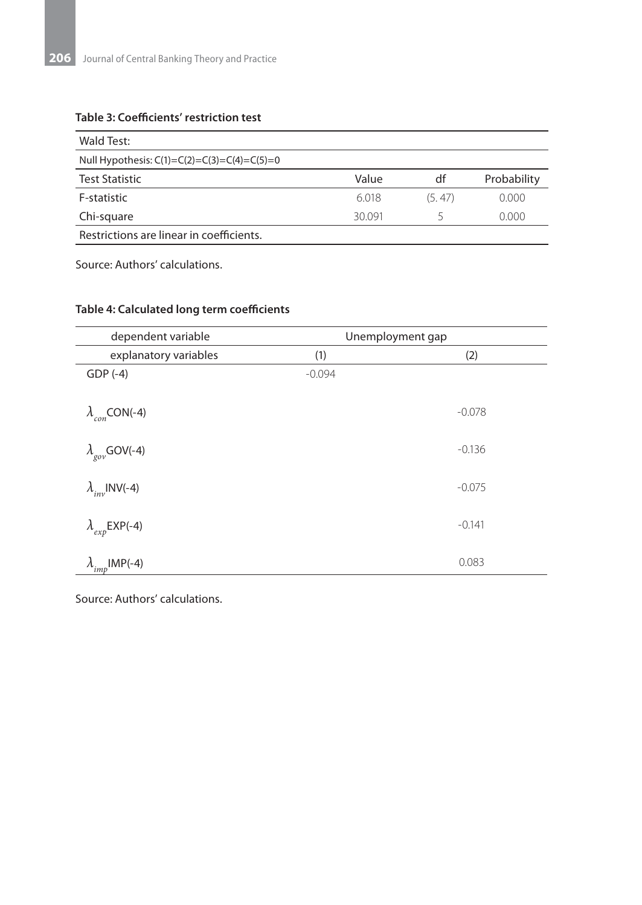#### **Table 3: Coefficients' restriction test**

| Wald Test:                                    |       |        |             |  |  |
|-----------------------------------------------|-------|--------|-------------|--|--|
| Null Hypothesis: $C(1)=C(2)=C(3)=C(4)=C(5)=0$ |       |        |             |  |  |
| <b>Test Statistic</b>                         | Value | df     | Probability |  |  |
| F-statistic                                   | 6.018 | (5.47) | 0.000       |  |  |
| Chi-square                                    | 30091 |        | 0.000       |  |  |
| Restrictions are linear in coefficients.      |       |        |             |  |  |

Source: Authors' calculations.

| dependent variable          |          | Unemployment gap |
|-----------------------------|----------|------------------|
| explanatory variables       | (1)      | (2)              |
| $GDP(-4)$                   | $-0.094$ |                  |
| $\lambda_{con}$ CON(-4)     |          | $-0.078$         |
| $\lambda_{\rm gov}$ GOV(-4) |          | $-0.136$         |
| $\lambda_{inv}$ INV(-4)     |          | $-0.075$         |
| $\lambda_{exp}$ EXP(-4)     |          | $-0.141$         |
| $\lambda_{imp}$ IMP(-4)     |          | 0.083            |

#### **Table 4: Calculated long term coefficients**